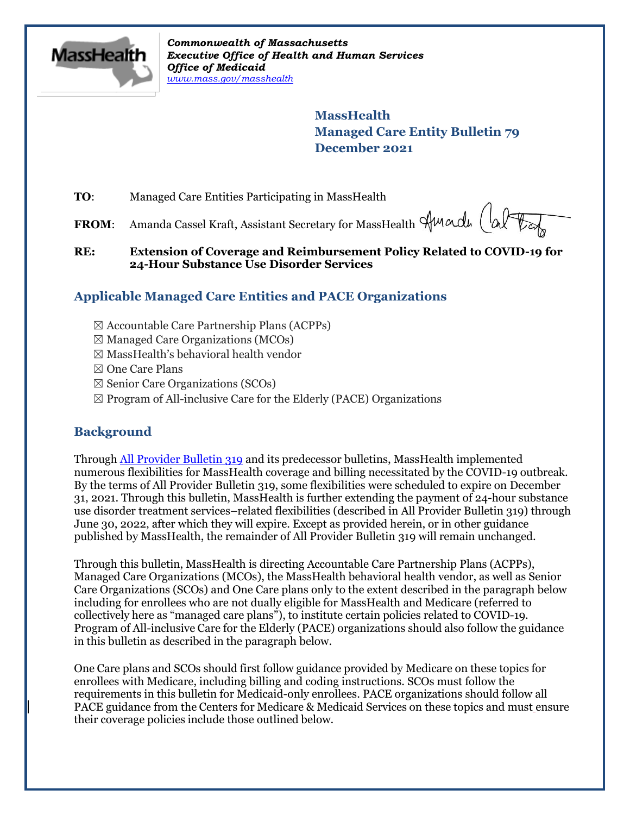

*Commonwealth of Massachusetts Executive Office of Health and Human Services Office of Medicaid [www.mass.gov/masshealth](http://www.mass.gov/masshealth)*

> **MassHealth Managed Care Entity Bulletin 79 December 2021**

**TO**: Managed Care Entities Participating in MassHealth

FROM: Amanda Cassel Kraft, Assistant Secretary for MassHealth Sunadu (al

## **RE: Extension of Coverage and Reimbursement Policy Related to COVID-19 for 24-Hour Substance Use Disorder Services**

# **Applicable Managed Care Entities and PACE Organizations**

- ☒ Accountable Care Partnership Plans (ACPPs)
- $\boxtimes$  Managed Care Organizations (MCOs)
- $\boxtimes$  MassHealth's behavioral health vendor
- ☒ One Care Plans
- $\boxtimes$  Senior Care Organizations (SCOs)
- $\boxtimes$  Program of All-inclusive Care for the Elderly (PACE) Organizations

# **Background**

Throug[h All Provider Bulletin 319](https://www.mass.gov/lists/all-provider-bulletins) and its predecessor bulletins, MassHealth implemented numerous flexibilities for MassHealth coverage and billing necessitated by the COVID-19 outbreak. By the terms of All Provider Bulletin 319, some flexibilities were scheduled to expire on December 31, 2021. Through this bulletin, MassHealth is further extending the payment of 24-hour substance use disorder treatment services–related flexibilities (described in All Provider Bulletin 319) through June 30, 2022, after which they will expire. Except as provided herein, or in other guidance published by MassHealth, the remainder of All Provider Bulletin 319 will remain unchanged.

Through this bulletin, MassHealth is directing Accountable Care Partnership Plans (ACPPs), Managed Care Organizations (MCOs), the MassHealth behavioral health vendor, as well as Senior Care Organizations (SCOs) and One Care plans only to the extent described in the paragraph below including for enrollees who are not dually eligible for MassHealth and Medicare (referred to collectively here as "managed care plans"), to institute certain policies related to COVID-19. Program of All-inclusive Care for the Elderly (PACE) organizations should also follow the guidance in this bulletin as described in the paragraph below.

One Care plans and SCOs should first follow guidance provided by Medicare on these topics for enrollees with Medicare, including billing and coding instructions. SCOs must follow the requirements in this bulletin for Medicaid-only enrollees. PACE organizations should follow all PACE guidance from the Centers for Medicare & Medicaid Services on these topics and must ensure their coverage policies include those outlined below.